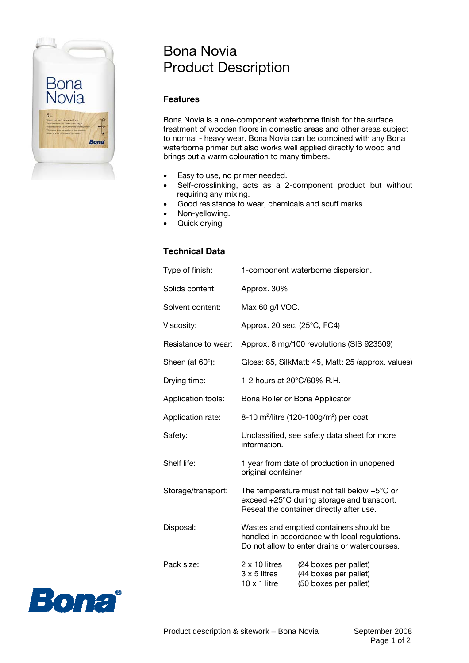

# Bona Novia Product Description

### **Features**

Bona Novia is a one-component waterborne finish for the surface treatment of wooden floors in domestic areas and other areas subject to normal - heavy wear. Bona Novia can be combined with any Bona waterborne primer but also works well applied directly to wood and brings out a warm colouration to many timbers.

- Easy to use, no primer needed.
- Self-crosslinking, acts as a 2-component product but without requiring any mixing.
- Good resistance to wear, chemicals and scuff marks.
- Non-yellowing.
- Quick drying

## **Technical Data**

| Type of finish:         | 1-component waterborne dispersion.                                                                                                              |                                                                         |
|-------------------------|-------------------------------------------------------------------------------------------------------------------------------------------------|-------------------------------------------------------------------------|
| Solids content:         | Approx. 30%                                                                                                                                     |                                                                         |
| Solvent content:        | Max 60 g/l VOC.                                                                                                                                 |                                                                         |
| Viscosity:              | Approx. 20 sec. (25°C, FC4)                                                                                                                     |                                                                         |
| Resistance to wear:     | Approx. 8 mg/100 revolutions (SIS 923509)                                                                                                       |                                                                         |
| Sheen (at $60^\circ$ ): | Gloss: 85, SilkMatt: 45, Matt: 25 (approx. values)                                                                                              |                                                                         |
| Drying time:            | 1-2 hours at 20°C/60% R.H.                                                                                                                      |                                                                         |
| Application tools:      | Bona Roller or Bona Applicator                                                                                                                  |                                                                         |
| Application rate:       | 8-10 m <sup>2</sup> /litre (120-100g/m <sup>2</sup> ) per coat                                                                                  |                                                                         |
| Safety:                 | Unclassified, see safety data sheet for more<br>information.                                                                                    |                                                                         |
| Shelf life:             | 1 year from date of production in unopened<br>original container                                                                                |                                                                         |
| Storage/transport:      | The temperature must not fall below $+5^{\circ}$ C or<br>exceed +25°C during storage and transport.<br>Reseal the container directly after use. |                                                                         |
| Disposal:               | Wastes and emptied containers should be<br>handled in accordance with local regulations.<br>Do not allow to enter drains or watercourses.       |                                                                         |
| Pack size:              | $2 \times 10$ litres<br>3 x 5 litres<br>$10 \times 1$ litre                                                                                     | (24 boxes per pallet)<br>(44 boxes per pallet)<br>(50 boxes per pallet) |
|                         |                                                                                                                                                 |                                                                         |